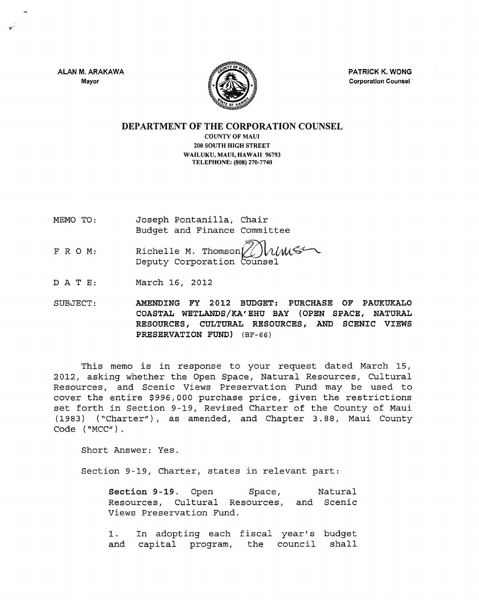ALAN M. ARAKAWA Mayor



PATRICK K. WONG Corporation Counsel .

DEPARTMENT OF THE CORPORATION COUNSEL

COUNTY OF MAUl 200 SOUTH HIGH STREET WAILUKU, MAUl, HAWAII 96793 TELEPHONE: (808) 270-7740

- MEMO TO: Joseph Pontanilla, Chair Budget and Finance Committee
- FRO M: Richelle M. Thomson $\bigcup_{\text{W}}\mathcal{W}$ <br>Deputy Corporation Counsel
- DATE: March 16, 2012

SUBJECT: AMENDING FY 2012 BUDGET: PURCHASE OF PAUKUKALO COASTAL WETLANDS/KA' EHU BAY (OPEN SPACE, NATURAL RESOURCES, CULTURAL RESOURCES, AND SCENIC VIEWS PRESERVATION FUND) (BF-66)

This memo is in response to your request dated March 15, 2012, asking whether the Open Space, Natural Resources, Cultural Resources, and Scenic Views Preservation Fund may be used to cover the entire \$996,000 purchase price, given the restrictions set forth in Section 9-19, Revised Charter of the County of Maui (1983) ("Charter"), as amended, and Chapter 3.88, Maui County Code ("MCC").

Short Answer: Yes.

Section 9-19, Charter, states in relevant part:

Section 9-19. Open Space, Natural Resources, Cultural Resources, and Scenic Views Preservation Fund.

1. and In adopting each fiscal year's budget capital program, the council shall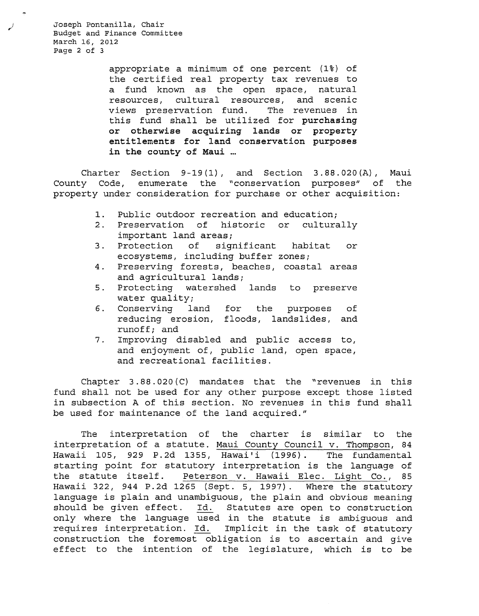Joseph Pontanilla, Chair Budget and Finance Committee March 16, 2012 Page 2 of 3

> appropriate a minimum of one percent (1%) of the certified real property tax revenues to a fund known as the open space, natural resources, cultural resources, and scenic views preservation fund. The revenues in this fund shall be utilized for purchasing or otherwise acquiring lands or property entitlements for land conservation purposes in the county of Maui

Charter Section 9-19(1), and Section 3.88.020(A), Maui County Code, enumerate the "conservation purposes" of the property under consideration for purchase or other acquisition:

- 1. Public outdoor recreation and education;
- 2. Preservation of historic or culturally important land areas;
- 3. Protection of significant habitat or ecosystems, including buffer zones;
- 4. Preserving forests, beaches, coastal areas and agricultural lands;
- 5. Protecting watershed lands to preserve water quality;
- 6. Conserving land for the purposes of reducing erosion, floods, landslides, and runoff; and
- 7. Improving disabled and public access to, and enjoyment of, public land, open space, and recreational facilities.

Chapter  $3.88.020(C)$  mandates that the "revenues in this fund shall not be used for any other purpose except those listed in subsection A of this section. No revenues in this fund shall be used for maintenance of the land acquired."

The interpretation of the charter is similar to the interpretation of a statute. Maui County Council v. Thompson, 84 Hawaii lOS, 929 P.2d 1355, Hawai'i (1996). The fundamental starting point for statutory interpretation is the language of the statute itself. Peterson v. Hawaii Elec. Light Co., 85 Hawaii 322, 944 P.2d 1265 (Sept. 5, 1997). Where the statutory language is plain and unambiguous, the plain and obvious meaning should be given effect. Id. Statutes are open to construction only where the language used in the statute is ambiguous and requires interpretation. Id. Implicit in the task of statutory construction the foremost obligation is to ascertain and give effect to the intention of the legislature, which is to be